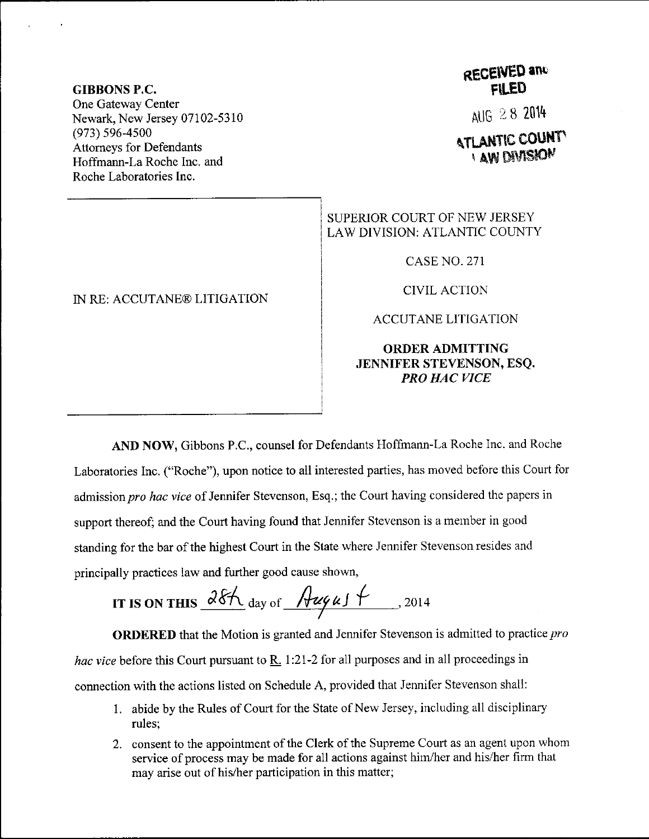### GIBBONS P.C. One Gateway Center Newark, New Jersey 07102-5310 (973) s96-4s00 Attomeys for Defendants Hoffmann-La Roche Inc. and Roche Laboratories Inc.

#### IN RE: ACCUTANE@ LITIGATION

## **RECEIVED and** FILED

AUG 28 2014

# **ATLANTIC COUNTY I AW DIVISION**

## SUPERIOR COURT OF NEW JERSEY LAW DIVISION: ATLANTIC COUNTY

CASE NO. 271

CIVIL ACTION

ACCUTANE LITIGATION

### ORDERADMITTING JENNIFER STEVENSON, ESQ. PRO HAC VICE

AND NOW, Gibbons P.C., counsel for Defendants Hoffmann-La Roche Inc. and Roche Laboratories Inc. ("Roche"), upon notice to all interested parties, has moved before this Court for admission pro hac vice of Jennifer Stevenson, Esq.; the Court having considered the papers in support thereof; and the Court having found that Jennifer Stevenson is a member in good standing for the bar of the highest Court in the State where Jennifer Stevenson resides and principally practices iaw and further good cause shown,

IT IS ON THIS 
$$
\frac{\partial 8\mathcal{H}}{\partial x}
$$
 day of  $\frac{\partial \mathcal{H}}{\partial y}$  2014

ORDERED that the Motion is granted and Jennifer Stevenson is admitted to practice pro hac vice before this Court pursuant to  $\underline{R}$ . 1:21-2 for all purposes and in all proceedings in connection with the actions listed on Schedule A, provided that Jennifer Stevenson shall:

- <sup>1</sup>. abide by the Rules of Court for the State of New Jersey, including all disciplinary rules;
- 2. consent to the appointment of the Clerk of the Supreme Court as an agent upon whom service of process may be made for all actions against him/her and his/her firm that may arise out of his/her participation in this matter;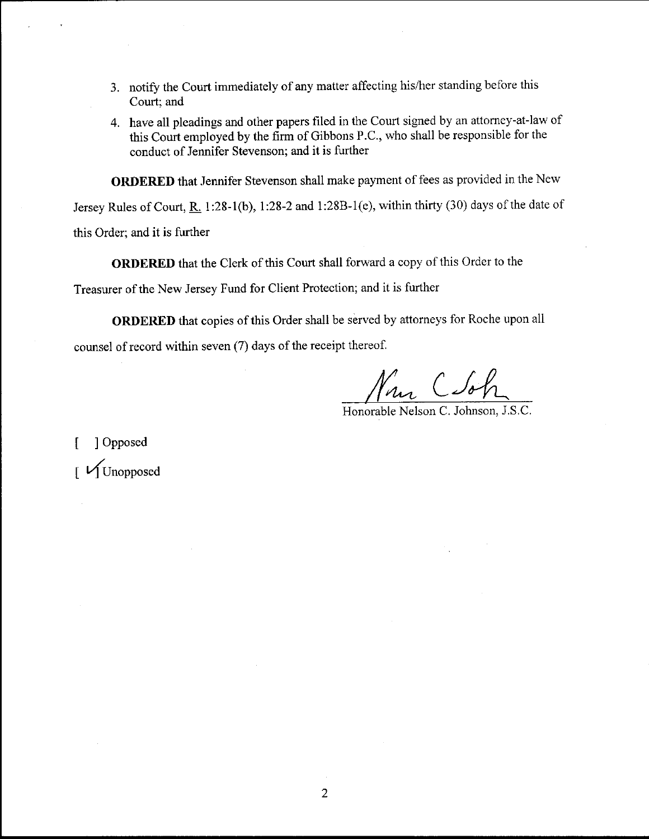- 3. notify the Court immediately of any matter affecting his/her standing before this Court; and
- 4. have all pleadings and other papers filed in the Court signed by an attorney-at-law of this Court employed by the firm of Gibbons P.C., who shall be responsible for the conduct of Jennifer Stevenson; and it is further

ORDERED that Jennifer Stevenson shall make payment of fees as provided in the New

Jersey Rules of Court, R. 1:28-1(b), 1:28-2 and 1:28B-1(e), within thirty (30) days of the date of this Order; and it is further

ORDERED that the Clerk of this Court shall forward a copy of this Order to the

Treasurer of the New Jersey Fund for Client Protection; and it is further

ORDERED that copies of this Order shall be served by attorneys for Roche upon all counsel of record within seven (7) days of the receipt thereof.

Honorable Nelson C. Johnson, J.S,C.

[ ] Opposed  $\int$   $\sqrt{\text{Unopposed}}$